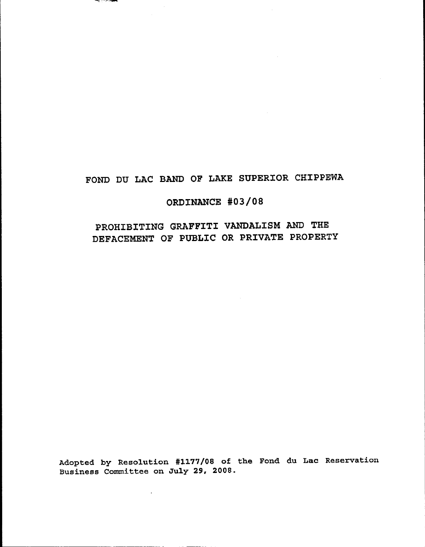# FOND DU LAC BAND OF LAKE SUPERIOR CHIPPEWA

فخنسه سنترز فاست

## ORDINANCE #03/08

# PROHIBITING GRAFFITI VANDALISM AND THE DEFACEMENT OF PUBLIC OR PRIVATE PROPERTY

Adopted by Resolution #1177/08 of the Fond du Lac Reservation<br>Business Committee on July 29, 2008.

 $\bar{z}$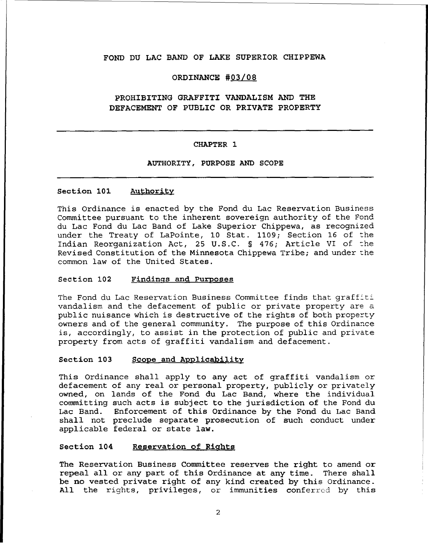## FOND DU LAC BAND OF LAKE SUPERIOR CHIPPEWA

## ORDINANCE #03/08

## PROHIBITING GRAFFITI VANDALISM AND THE DEFACEMENT OF PUBLIC OR PRIVATE PROPERTY

#### CHAPTER 1

## AUTHORITY, PURPOSE AND SCOPE

### section 101 Authority

This Ordinance is enacted by the Fond du Lac Reservation Business Committee pursuant to the inherent sovereign authority of the Fond du Lac Fond du Lac Band of Lake Superior Chippewa, as recognized under the Treaty of LaPointe, 10 Stat. 1109; Section 16 of the Indian Reorganization Act, 25 U.S.C. § 476; Article VI of the Revised Constitution of the Minnesota Chippewa Tribe; and under the common law of the United States.

#### Section 102 Findings and Purposes

The Fond du Lac Reservation Business Committee finds that graffiti vandalism and the defacement of public or private property are a public nuisance which is destructive of the rights of both property owners and of the general community. The purpose of this Ordinance is, accordingly, to assist *in* the protection of public and private property from acts of graffiti vandalism and defacement.

#### Section 103 Scope and Applicability

This Ordinance shall apply to any act of graffiti vandalism or defacement of any real or personal property, publicly or privately owned, on lands of the Fond du Lac Band, where the individual committing such acts is subject to the jurisdiction of the Fond du Lac Band. Enforcement of this Ordinance by the Fond du Lac Band shall not preclude separate prosecution of such conduct under applicable federal or state law.

## Section 104 Reservation of Rights

The Reservation Business Committee reserves the right to amend or repeal all or any part of this Ordinance at any time. There shall be no vested private right of any kind created by this Ordinance. All the rights, privileges, or immunities conferred by this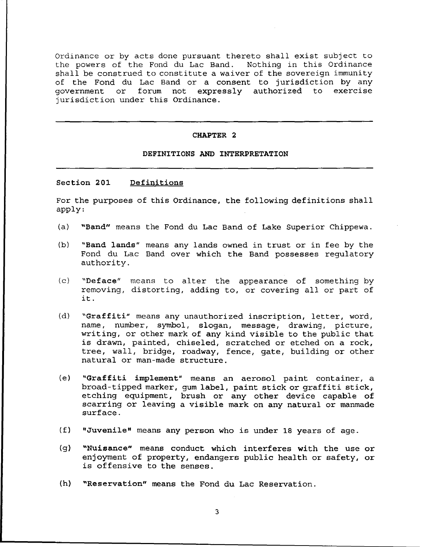Ordinance or by acts done pursuant thereto shall exist subject to the powers of the Fond du Lac Band. Nothing in this Ordinance shall be construed to constitute a waiver of the sovereign immunity of the Fond du Lac Band or <sup>a</sup> consent to jurisdiction by any government or forum not expressly authorized to exercise jurisdiction under this Ordinance.

#### CHAPTER 2

#### DEFINITIONS AND INTERPRETATION

#### Section 201 Definitions

For the purposes of this Ordinance, the following definitions shall apply:

- (a) "Band" means the Fond du Lac Band of Lake Superior Chippewa.
- (b) "Band lands" means any lands owned in trust or in fee by the Fond du Lac Band over which the Band possesses regulatory authority.
- (c) "Deface" means to alter the appearance of something by removing, distorting, adding to, or covering all or part of it.
- (d) "Graffiti" means any unauthorized inscription, letter, word, name, number, sYmbol, slogan, message, drawing, picture, writing, or other mark of any kind visible to the public that is drawn, painted, chiseled, scratched or etched on <sup>a</sup> rock, tree, wall, bridge, roadway, fence, gate, building or other natural or man-made structure.
- (e) "Graffiti implement" means an aerosol paint container, <sup>a</sup> broad-tipped marker, gum label, paint stick or graffiti stick, etching equipment, brush or any other device capable of scarring or leaving <sup>a</sup> visible mark on any natural or manmade surface.
- (f) "Juvenile" means any person who is under <sup>18</sup> years of age.
- (g) "Nuisance" means conduct which interferes with the use or enjoyment of property, endangers public health or safety, or is offensive to the senses.
- (h) "Reservation" means the Fond du Lac Reservation.

3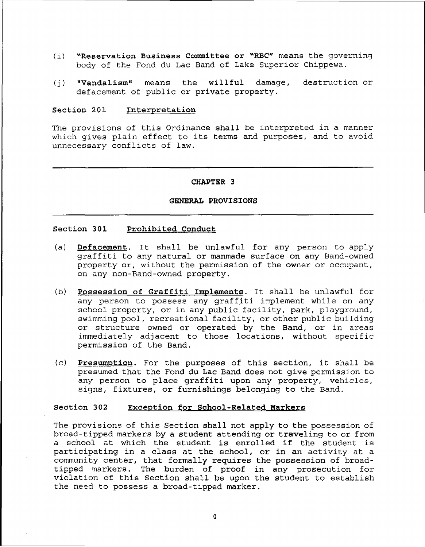- (i) "Reservation Business Committee or "RBC" means the governing body of the Fond du Lac Band of Lake Superior Chippewa.
- (j) "Vandalism" means the willful damage, defacement of public or private property. destruction or

## Section 201 Interpretation

The provisions of this Ordinance shall be interpreted in <sup>a</sup> manner which gives plain effect to its terms and purposes, and to avoid unnecessary conflicts of law.

#### CHAPTER 3

#### GENERAL PROVISIONS

## Section 301 Prohibited Conduct

- (a) Defacement. It shall be unlawful for any person to apply graffiti to any natural or manmade surface on any Band-owned property or, without the permission of the owner or occupant, on any non-Band-owned property.
- (b) **Possession of Graffiti Implements**. It shall be unlawful for any person to possess any graffiti implement while on any school property, or in any public facility, park, playground, swimming pool, recreational facility, or other public building or structure owned or operated by the Band, or in areas immediately adjacent to those locations, without specific permission of the Band.
- (c) Presumption. For the purposes of this section, *it* shall be presumed that the Fond du Lac Band does not give permission to any person to place graffiti upon any property, vehicles, signs, fixtures, or furnishings belonging to the Band.

## Section 302 Exception for School-Related Markers

The provisions of this Section shall not apply to the possession of broad-tipped markers by a student attending or traveling to or from <sup>a</sup> school at which the student is enrolled if the student is participating in <sup>a</sup> class at the school, or in an activity at <sup>a</sup> community center, that formally requires the possession of broadtipped markers. The burden of proof in any prosecution for violation of this Section shall be upon the student to establish the need to possess a broad-tipped marker.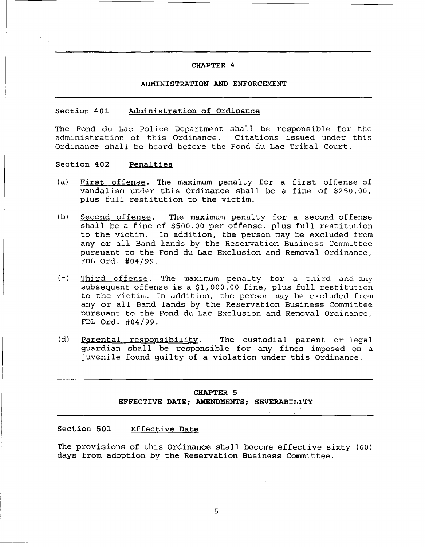## CHAPTER 4

#### ADMINISTRATION AND ENFORCEMENT

#### Section 401 Administration of Ordinance

The Fond du Lac Police Department shall be responsible for the administration of this Ordinance. Citations issued under this Ordinance shall be heard before the Fond du Lac Tribal Court.

## Section 402 Penalties

- (a) First offense. The maximum penalty for <sup>a</sup> first offense of vandalism under this Ordinance shall be <sup>a</sup> fine of \$250.00, plus full restitution to the victim.
- (b) Second offense. The maximum penalty for a second offense shall be <sup>a</sup> fine of \$500.00 per offense, plus full restitution to the victim. In addition, the person may be excluded from any or all Band lands by the Reservation Business Committee pursuant to the Fond du Lac Exclusion and Removal Ordinance, FDL Ord. #04/99.
- (c) Third offense. The maximum penalty for <sup>a</sup> third and any subsequent offense is <sup>a</sup> \$1,000.00 fine, plus full restitution to the victim. In addition, the person may be excluded from any or all Band lands by the Reservation Business Committee pursuant to the Fond du Lac Exclusion and Removal Ordinance, FDL Ord. #04/99.
- (d) Parental responsibility. The custodial parent or legal guardian shall be responsible for any fines imposed on <sup>a</sup> juvenile found guilty of <sup>a</sup> violation under this Ordinance.

## CHAPTER 5 EFFECTIVE DATE; AMENDMENTS; SEVERABILITY

## Section 501 Effective Date

The provisions of this Ordinance shall become effective sixty (60) days from adoption by the Reservation Business Committee.